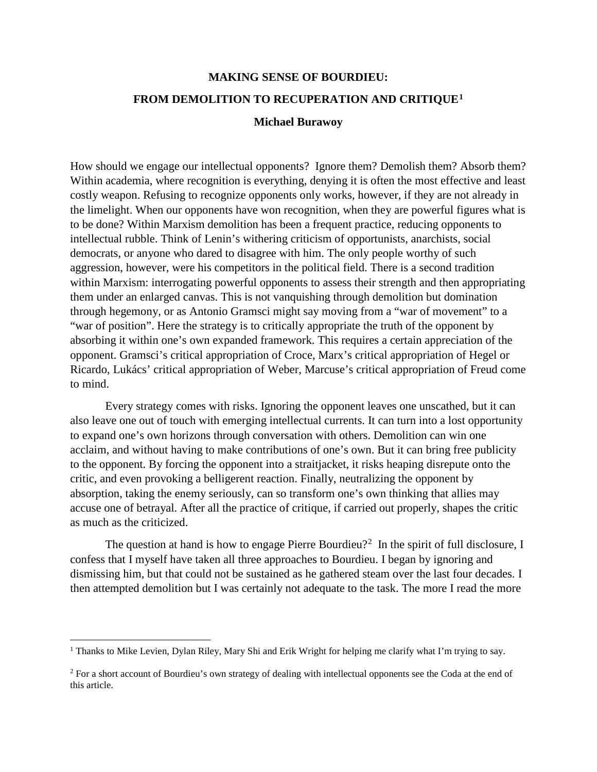# **MAKING SENSE OF BOURDIEU: FROM DEMOLITION TO RECUPERATION AND CRITIQUE[1](#page-0-0)**

# **Michael Burawoy**

How should we engage our intellectual opponents? Ignore them? Demolish them? Absorb them? Within academia, where recognition is everything, denying it is often the most effective and least costly weapon. Refusing to recognize opponents only works, however, if they are not already in the limelight. When our opponents have won recognition, when they are powerful figures what is to be done? Within Marxism demolition has been a frequent practice, reducing opponents to intellectual rubble. Think of Lenin's withering criticism of opportunists, anarchists, social democrats, or anyone who dared to disagree with him. The only people worthy of such aggression, however, were his competitors in the political field. There is a second tradition within Marxism: interrogating powerful opponents to assess their strength and then appropriating them under an enlarged canvas. This is not vanquishing through demolition but domination through hegemony, or as Antonio Gramsci might say moving from a "war of movement" to a "war of position". Here the strategy is to critically appropriate the truth of the opponent by absorbing it within one's own expanded framework. This requires a certain appreciation of the opponent. Gramsci's critical appropriation of Croce, Marx's critical appropriation of Hegel or Ricardo, Lukács' critical appropriation of Weber, Marcuse's critical appropriation of Freud come to mind.

Every strategy comes with risks. Ignoring the opponent leaves one unscathed, but it can also leave one out of touch with emerging intellectual currents. It can turn into a lost opportunity to expand one's own horizons through conversation with others. Demolition can win one acclaim, and without having to make contributions of one's own. But it can bring free publicity to the opponent. By forcing the opponent into a straitjacket, it risks heaping disrepute onto the critic, and even provoking a belligerent reaction. Finally, neutralizing the opponent by absorption, taking the enemy seriously, can so transform one's own thinking that allies may accuse one of betrayal. After all the practice of critique, if carried out properly, shapes the critic as much as the criticized.

The question at hand is how to engage Pierre Bourdieu?<sup>[2](#page-0-1)</sup> In the spirit of full disclosure, I confess that I myself have taken all three approaches to Bourdieu. I began by ignoring and dismissing him, but that could not be sustained as he gathered steam over the last four decades. I then attempted demolition but I was certainly not adequate to the task. The more I read the more

<span id="page-0-0"></span><sup>&</sup>lt;sup>1</sup> Thanks to Mike Levien, Dylan Riley, Mary Shi and Erik Wright for helping me clarify what I'm trying to say.

<span id="page-0-1"></span><sup>&</sup>lt;sup>2</sup> For a short account of Bourdieu's own strategy of dealing with intellectual opponents see the Coda at the end of this article.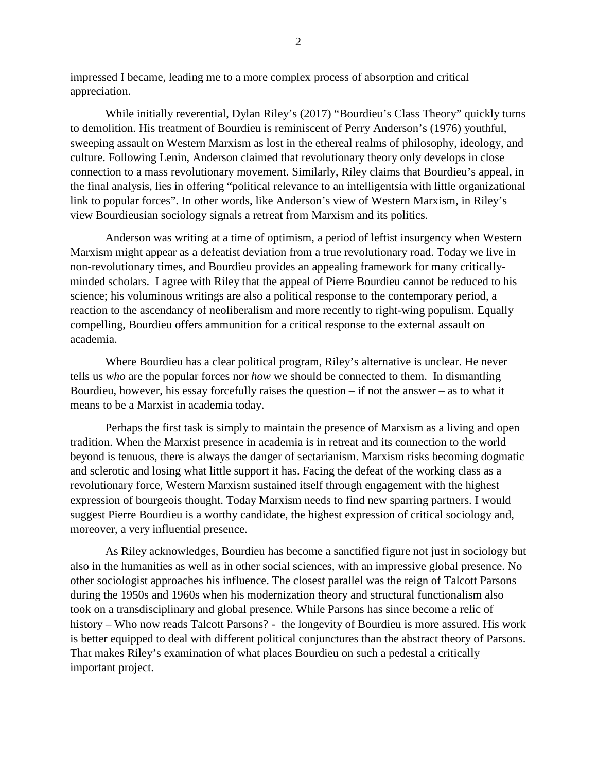impressed I became, leading me to a more complex process of absorption and critical appreciation.

While initially reverential, Dylan Riley's (2017) "Bourdieu's Class Theory" quickly turns to demolition. His treatment of Bourdieu is reminiscent of Perry Anderson's (1976) youthful, sweeping assault on Western Marxism as lost in the ethereal realms of philosophy, ideology, and culture. Following Lenin, Anderson claimed that revolutionary theory only develops in close connection to a mass revolutionary movement. Similarly, Riley claims that Bourdieu's appeal, in the final analysis, lies in offering "political relevance to an intelligentsia with little organizational link to popular forces". In other words, like Anderson's view of Western Marxism, in Riley's view Bourdieusian sociology signals a retreat from Marxism and its politics.

Anderson was writing at a time of optimism, a period of leftist insurgency when Western Marxism might appear as a defeatist deviation from a true revolutionary road. Today we live in non-revolutionary times, and Bourdieu provides an appealing framework for many criticallyminded scholars. I agree with Riley that the appeal of Pierre Bourdieu cannot be reduced to his science; his voluminous writings are also a political response to the contemporary period, a reaction to the ascendancy of neoliberalism and more recently to right-wing populism. Equally compelling, Bourdieu offers ammunition for a critical response to the external assault on academia.

Where Bourdieu has a clear political program, Riley's alternative is unclear. He never tells us *who* are the popular forces nor *how* we should be connected to them. In dismantling Bourdieu, however, his essay forcefully raises the question  $-$  if not the answer  $-$  as to what it means to be a Marxist in academia today.

Perhaps the first task is simply to maintain the presence of Marxism as a living and open tradition. When the Marxist presence in academia is in retreat and its connection to the world beyond is tenuous, there is always the danger of sectarianism. Marxism risks becoming dogmatic and sclerotic and losing what little support it has. Facing the defeat of the working class as a revolutionary force, Western Marxism sustained itself through engagement with the highest expression of bourgeois thought. Today Marxism needs to find new sparring partners. I would suggest Pierre Bourdieu is a worthy candidate, the highest expression of critical sociology and, moreover, a very influential presence.

As Riley acknowledges, Bourdieu has become a sanctified figure not just in sociology but also in the humanities as well as in other social sciences, with an impressive global presence. No other sociologist approaches his influence. The closest parallel was the reign of Talcott Parsons during the 1950s and 1960s when his modernization theory and structural functionalism also took on a transdisciplinary and global presence. While Parsons has since become a relic of history – Who now reads Talcott Parsons? - the longevity of Bourdieu is more assured. His work is better equipped to deal with different political conjunctures than the abstract theory of Parsons. That makes Riley's examination of what places Bourdieu on such a pedestal a critically important project.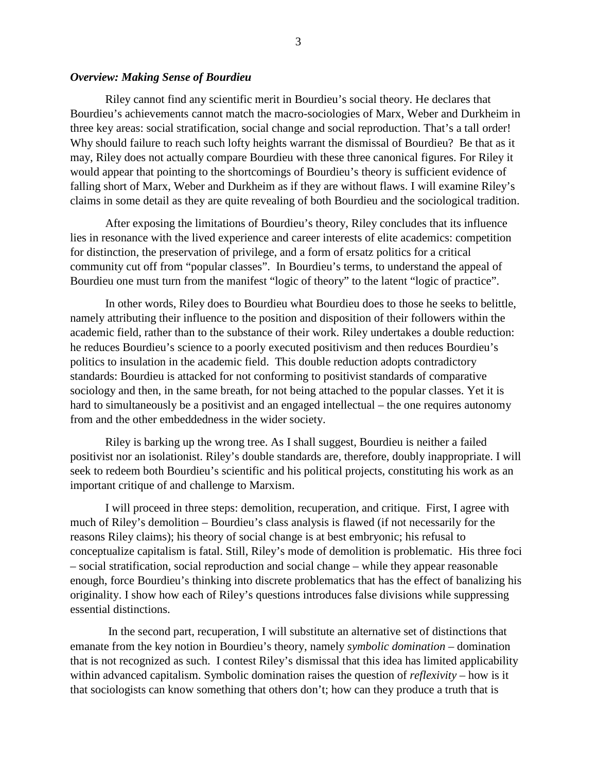#### *Overview: Making Sense of Bourdieu*

Riley cannot find any scientific merit in Bourdieu's social theory. He declares that Bourdieu's achievements cannot match the macro-sociologies of Marx, Weber and Durkheim in three key areas: social stratification, social change and social reproduction. That's a tall order! Why should failure to reach such lofty heights warrant the dismissal of Bourdieu? Be that as it may, Riley does not actually compare Bourdieu with these three canonical figures. For Riley it would appear that pointing to the shortcomings of Bourdieu's theory is sufficient evidence of falling short of Marx, Weber and Durkheim as if they are without flaws. I will examine Riley's claims in some detail as they are quite revealing of both Bourdieu and the sociological tradition.

After exposing the limitations of Bourdieu's theory, Riley concludes that its influence lies in resonance with the lived experience and career interests of elite academics: competition for distinction, the preservation of privilege, and a form of ersatz politics for a critical community cut off from "popular classes". In Bourdieu's terms, to understand the appeal of Bourdieu one must turn from the manifest "logic of theory" to the latent "logic of practice".

In other words, Riley does to Bourdieu what Bourdieu does to those he seeks to belittle, namely attributing their influence to the position and disposition of their followers within the academic field, rather than to the substance of their work. Riley undertakes a double reduction: he reduces Bourdieu's science to a poorly executed positivism and then reduces Bourdieu's politics to insulation in the academic field. This double reduction adopts contradictory standards: Bourdieu is attacked for not conforming to positivist standards of comparative sociology and then, in the same breath, for not being attached to the popular classes. Yet it is hard to simultaneously be a positivist and an engaged intellectual – the one requires autonomy from and the other embeddedness in the wider society.

Riley is barking up the wrong tree. As I shall suggest, Bourdieu is neither a failed positivist nor an isolationist. Riley's double standards are, therefore, doubly inappropriate. I will seek to redeem both Bourdieu's scientific and his political projects, constituting his work as an important critique of and challenge to Marxism.

I will proceed in three steps: demolition, recuperation, and critique. First, I agree with much of Riley's demolition – Bourdieu's class analysis is flawed (if not necessarily for the reasons Riley claims); his theory of social change is at best embryonic; his refusal to conceptualize capitalism is fatal. Still, Riley's mode of demolition is problematic. His three foci – social stratification, social reproduction and social change – while they appear reasonable enough, force Bourdieu's thinking into discrete problematics that has the effect of banalizing his originality. I show how each of Riley's questions introduces false divisions while suppressing essential distinctions.

In the second part, recuperation, I will substitute an alternative set of distinctions that emanate from the key notion in Bourdieu's theory, namely *symbolic domination* – domination that is not recognized as such. I contest Riley's dismissal that this idea has limited applicability within advanced capitalism. Symbolic domination raises the question of *reflexivity* – how is it that sociologists can know something that others don't; how can they produce a truth that is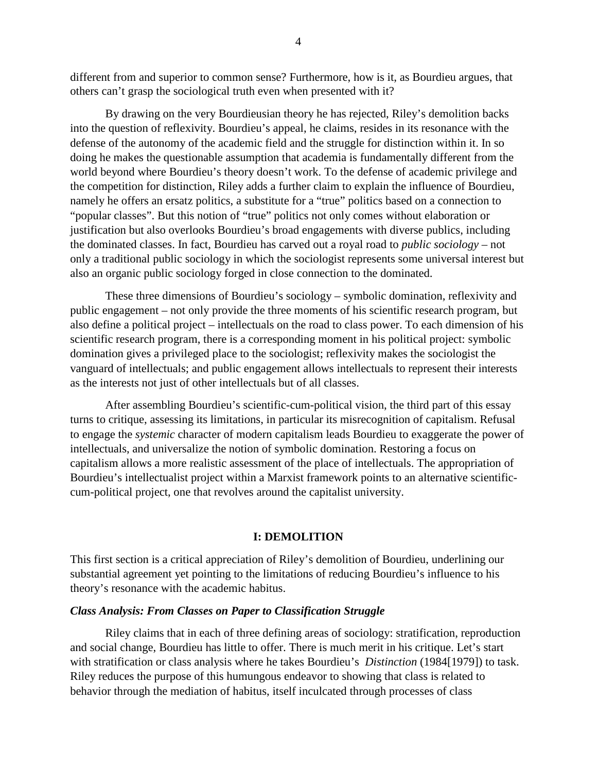different from and superior to common sense? Furthermore, how is it, as Bourdieu argues, that others can't grasp the sociological truth even when presented with it?

By drawing on the very Bourdieusian theory he has rejected, Riley's demolition backs into the question of reflexivity. Bourdieu's appeal, he claims, resides in its resonance with the defense of the autonomy of the academic field and the struggle for distinction within it. In so doing he makes the questionable assumption that academia is fundamentally different from the world beyond where Bourdieu's theory doesn't work. To the defense of academic privilege and the competition for distinction, Riley adds a further claim to explain the influence of Bourdieu, namely he offers an ersatz politics, a substitute for a "true" politics based on a connection to "popular classes". But this notion of "true" politics not only comes without elaboration or justification but also overlooks Bourdieu's broad engagements with diverse publics, including the dominated classes. In fact, Bourdieu has carved out a royal road to *public sociology* – not only a traditional public sociology in which the sociologist represents some universal interest but also an organic public sociology forged in close connection to the dominated.

These three dimensions of Bourdieu's sociology – symbolic domination, reflexivity and public engagement – not only provide the three moments of his scientific research program, but also define a political project – intellectuals on the road to class power. To each dimension of his scientific research program, there is a corresponding moment in his political project: symbolic domination gives a privileged place to the sociologist; reflexivity makes the sociologist the vanguard of intellectuals; and public engagement allows intellectuals to represent their interests as the interests not just of other intellectuals but of all classes.

After assembling Bourdieu's scientific-cum-political vision, the third part of this essay turns to critique, assessing its limitations, in particular its misrecognition of capitalism. Refusal to engage the *systemic* character of modern capitalism leads Bourdieu to exaggerate the power of intellectuals, and universalize the notion of symbolic domination. Restoring a focus on capitalism allows a more realistic assessment of the place of intellectuals. The appropriation of Bourdieu's intellectualist project within a Marxist framework points to an alternative scientificcum-political project, one that revolves around the capitalist university.

## **I: DEMOLITION**

This first section is a critical appreciation of Riley's demolition of Bourdieu, underlining our substantial agreement yet pointing to the limitations of reducing Bourdieu's influence to his theory's resonance with the academic habitus.

# *Class Analysis: From Classes on Paper to Classification Struggle*

Riley claims that in each of three defining areas of sociology: stratification, reproduction and social change, Bourdieu has little to offer. There is much merit in his critique. Let's start with stratification or class analysis where he takes Bourdieu's *Distinction* (1984[1979]) to task. Riley reduces the purpose of this humungous endeavor to showing that class is related to behavior through the mediation of habitus, itself inculcated through processes of class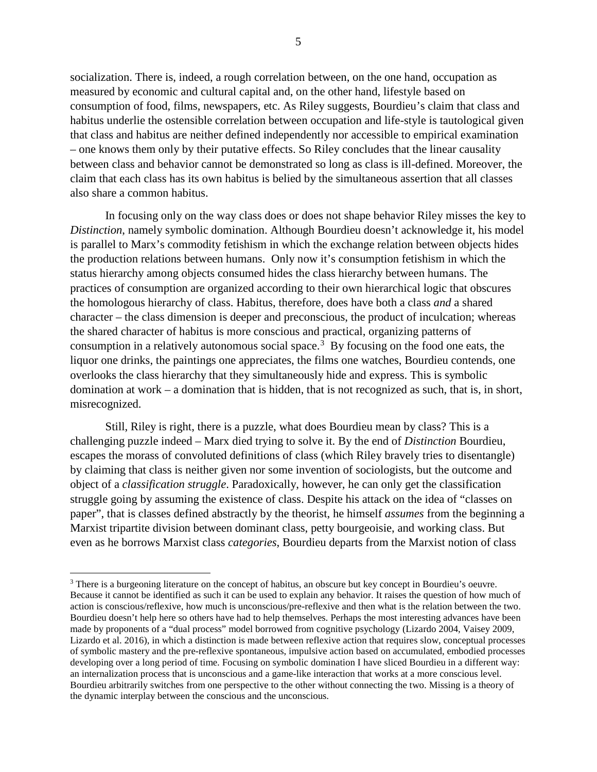socialization. There is, indeed, a rough correlation between, on the one hand, occupation as measured by economic and cultural capital and, on the other hand, lifestyle based on consumption of food, films, newspapers, etc. As Riley suggests, Bourdieu's claim that class and habitus underlie the ostensible correlation between occupation and life-style is tautological given that class and habitus are neither defined independently nor accessible to empirical examination – one knows them only by their putative effects. So Riley concludes that the linear causality between class and behavior cannot be demonstrated so long as class is ill-defined. Moreover, the claim that each class has its own habitus is belied by the simultaneous assertion that all classes also share a common habitus.

In focusing only on the way class does or does not shape behavior Riley misses the key to *Distinction*, namely symbolic domination. Although Bourdieu doesn't acknowledge it, his model is parallel to Marx's commodity fetishism in which the exchange relation between objects hides the production relations between humans. Only now it's consumption fetishism in which the status hierarchy among objects consumed hides the class hierarchy between humans. The practices of consumption are organized according to their own hierarchical logic that obscures the homologous hierarchy of class. Habitus, therefore, does have both a class *and* a shared character – the class dimension is deeper and preconscious, the product of inculcation; whereas the shared character of habitus is more conscious and practical, organizing patterns of consumption in a relatively autonomous social space.<sup>[3](#page-4-0)</sup> By focusing on the food one eats, the liquor one drinks, the paintings one appreciates, the films one watches, Bourdieu contends, one overlooks the class hierarchy that they simultaneously hide and express. This is symbolic domination at work – a domination that is hidden, that is not recognized as such, that is, in short, misrecognized.

Still, Riley is right, there is a puzzle, what does Bourdieu mean by class? This is a challenging puzzle indeed – Marx died trying to solve it. By the end of *Distinction* Bourdieu, escapes the morass of convoluted definitions of class (which Riley bravely tries to disentangle) by claiming that class is neither given nor some invention of sociologists, but the outcome and object of a *classification struggle*. Paradoxically, however, he can only get the classification struggle going by assuming the existence of class. Despite his attack on the idea of "classes on paper", that is classes defined abstractly by the theorist, he himself *assumes* from the beginning a Marxist tripartite division between dominant class, petty bourgeoisie, and working class. But even as he borrows Marxist class *categories*, Bourdieu departs from the Marxist notion of class

<span id="page-4-0"></span><sup>&</sup>lt;sup>3</sup> There is a burgeoning literature on the concept of habitus, an obscure but key concept in Bourdieu's oeuvre. Because it cannot be identified as such it can be used to explain any behavior. It raises the question of how much of action is conscious/reflexive, how much is unconscious/pre-reflexive and then what is the relation between the two. Bourdieu doesn't help here so others have had to help themselves. Perhaps the most interesting advances have been made by proponents of a "dual process" model borrowed from cognitive psychology (Lizardo 2004, Vaisey 2009, Lizardo et al. 2016), in which a distinction is made between reflexive action that requires slow, conceptual processes of symbolic mastery and the pre-reflexive spontaneous, impulsive action based on accumulated, embodied processes developing over a long period of time. Focusing on symbolic domination I have sliced Bourdieu in a different way: an internalization process that is unconscious and a game-like interaction that works at a more conscious level. Bourdieu arbitrarily switches from one perspective to the other without connecting the two. Missing is a theory of the dynamic interplay between the conscious and the unconscious.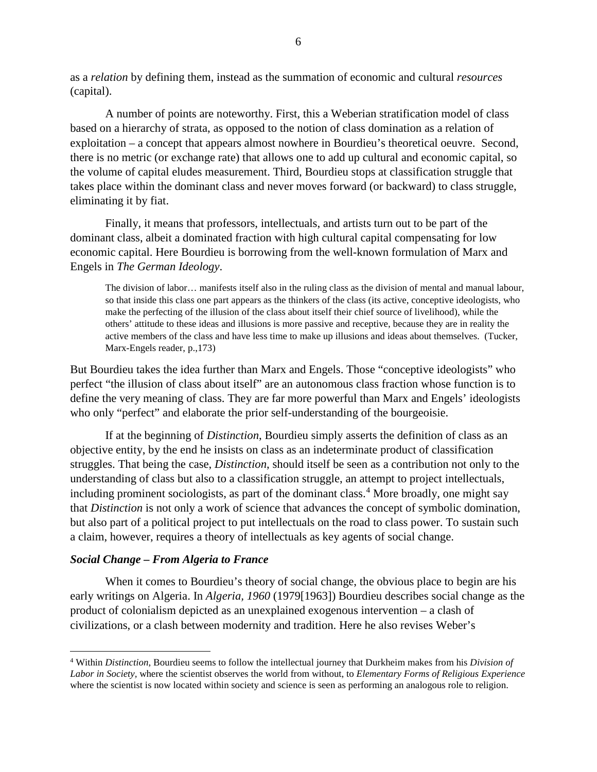as a *relation* by defining them, instead as the summation of economic and cultural *resources* (capital).

A number of points are noteworthy. First, this a Weberian stratification model of class based on a hierarchy of strata, as opposed to the notion of class domination as a relation of exploitation – a concept that appears almost nowhere in Bourdieu's theoretical oeuvre. Second, there is no metric (or exchange rate) that allows one to add up cultural and economic capital, so the volume of capital eludes measurement. Third, Bourdieu stops at classification struggle that takes place within the dominant class and never moves forward (or backward) to class struggle, eliminating it by fiat.

Finally, it means that professors, intellectuals, and artists turn out to be part of the dominant class, albeit a dominated fraction with high cultural capital compensating for low economic capital. Here Bourdieu is borrowing from the well-known formulation of Marx and Engels in *The German Ideology*.

The division of labor… manifests itself also in the ruling class as the division of mental and manual labour, so that inside this class one part appears as the thinkers of the class (its active, conceptive ideologists, who make the perfecting of the illusion of the class about itself their chief source of livelihood), while the others' attitude to these ideas and illusions is more passive and receptive, because they are in reality the active members of the class and have less time to make up illusions and ideas about themselves. (Tucker, Marx-Engels reader, p.,173)

But Bourdieu takes the idea further than Marx and Engels. Those "conceptive ideologists" who perfect "the illusion of class about itself" are an autonomous class fraction whose function is to define the very meaning of class. They are far more powerful than Marx and Engels' ideologists who only "perfect" and elaborate the prior self-understanding of the bourgeoisie.

If at the beginning of *Distinction*, Bourdieu simply asserts the definition of class as an objective entity, by the end he insists on class as an indeterminate product of classification struggles. That being the case, *Distinction*, should itself be seen as a contribution not only to the understanding of class but also to a classification struggle, an attempt to project intellectuals, including prominent sociologists, as part of the dominant class. [4](#page-5-0) More broadly, one might say that *Distinction* is not only a work of science that advances the concept of symbolic domination, but also part of a political project to put intellectuals on the road to class power. To sustain such a claim, however, requires a theory of intellectuals as key agents of social change.

## *Social Change – From Algeria to France*

When it comes to Bourdieu's theory of social change, the obvious place to begin are his early writings on Algeria. In *Algeria, 1960* (1979[1963]) Bourdieu describes social change as the product of colonialism depicted as an unexplained exogenous intervention – a clash of civilizations, or a clash between modernity and tradition. Here he also revises Weber's

<span id="page-5-0"></span> <sup>4</sup> Within *Distinction*, Bourdieu seems to follow the intellectual journey that Durkheim makes from his *Division of Labor in Society,* where the scientist observes the world from without, to *Elementary Forms of Religious Experience* where the scientist is now located within society and science is seen as performing an analogous role to religion.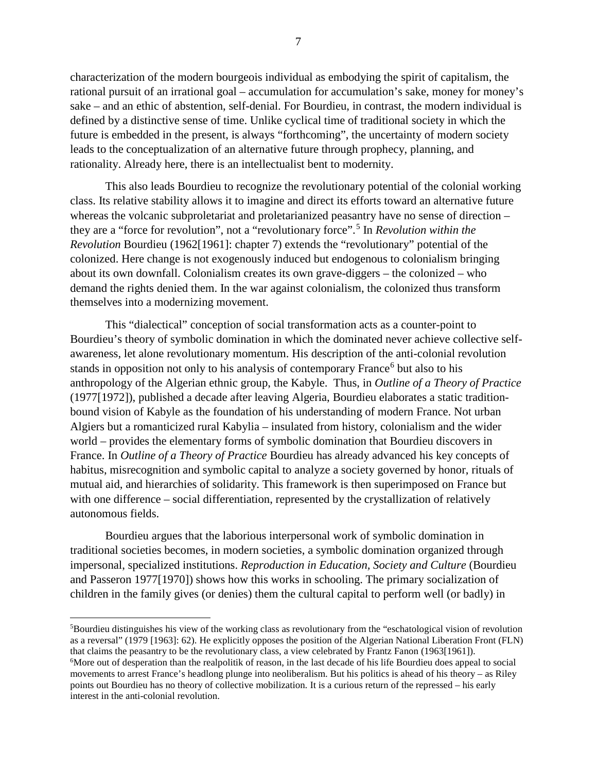characterization of the modern bourgeois individual as embodying the spirit of capitalism, the rational pursuit of an irrational goal – accumulation for accumulation's sake, money for money's sake – and an ethic of abstention, self-denial. For Bourdieu, in contrast, the modern individual is defined by a distinctive sense of time. Unlike cyclical time of traditional society in which the future is embedded in the present, is always "forthcoming", the uncertainty of modern society leads to the conceptualization of an alternative future through prophecy, planning, and rationality. Already here, there is an intellectualist bent to modernity.

This also leads Bourdieu to recognize the revolutionary potential of the colonial working class. Its relative stability allows it to imagine and direct its efforts toward an alternative future whereas the volcanic subproletariat and proletarianized peasantry have no sense of direction – they are a "force for revolution", not a "revolutionary force". [5](#page-6-0) In *Revolution within the Revolution* Bourdieu (1962[1961]: chapter 7) extends the "revolutionary" potential of the colonized. Here change is not exogenously induced but endogenous to colonialism bringing about its own downfall. Colonialism creates its own grave-diggers – the colonized – who demand the rights denied them. In the war against colonialism, the colonized thus transform themselves into a modernizing movement.

This "dialectical" conception of social transformation acts as a counter-point to Bourdieu's theory of symbolic domination in which the dominated never achieve collective selfawareness, let alone revolutionary momentum. His description of the anti-colonial revolution stands in opposition not only to his analysis of contemporary France<sup>[6](#page-6-1)</sup> but also to his anthropology of the Algerian ethnic group, the Kabyle. Thus, in *Outline of a Theory of Practice* (1977[1972]), published a decade after leaving Algeria, Bourdieu elaborates a static traditionbound vision of Kabyle as the foundation of his understanding of modern France. Not urban Algiers but a romanticized rural Kabylia – insulated from history, colonialism and the wider world – provides the elementary forms of symbolic domination that Bourdieu discovers in France. In *Outline of a Theory of Practice* Bourdieu has already advanced his key concepts of habitus, misrecognition and symbolic capital to analyze a society governed by honor, rituals of mutual aid, and hierarchies of solidarity. This framework is then superimposed on France but with one difference – social differentiation, represented by the crystallization of relatively autonomous fields.

Bourdieu argues that the laborious interpersonal work of symbolic domination in traditional societies becomes, in modern societies, a symbolic domination organized through impersonal, specialized institutions. *Reproduction in Education, Society and Culture* (Bourdieu and Passeron 1977[1970]) shows how this works in schooling. The primary socialization of children in the family gives (or denies) them the cultural capital to perform well (or badly) in

<span id="page-6-1"></span><span id="page-6-0"></span> $\frac{1}{5}$ Bourdieu distinguishes his view of the working class as revolutionary from the "eschatological vision of revolution as a reversal" (1979 [1963]: 62). He explicitly opposes the position of the Algerian National Liberation Front (FLN) that claims the peasantry to be the revolutionary class, a view celebrated by Frantz Fanon (1963[1961]). 6 More out of desperation than the realpolitik of reason, in the last decade of his life Bourdieu does appeal to social movements to arrest France's headlong plunge into neoliberalism. But his politics is ahead of his theory – as Riley points out Bourdieu has no theory of collective mobilization. It is a curious return of the repressed – his early interest in the anti-colonial revolution.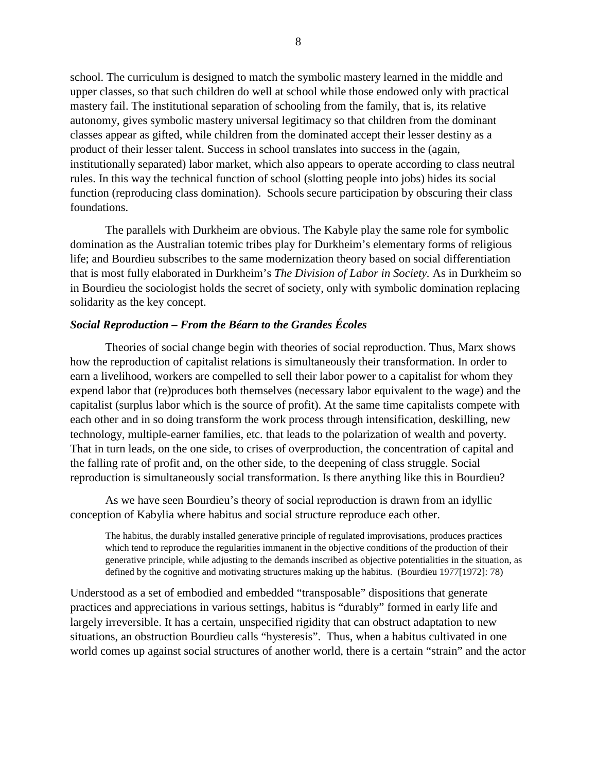school. The curriculum is designed to match the symbolic mastery learned in the middle and upper classes, so that such children do well at school while those endowed only with practical mastery fail. The institutional separation of schooling from the family, that is, its relative autonomy, gives symbolic mastery universal legitimacy so that children from the dominant classes appear as gifted, while children from the dominated accept their lesser destiny as a product of their lesser talent. Success in school translates into success in the (again, institutionally separated) labor market, which also appears to operate according to class neutral rules. In this way the technical function of school (slotting people into jobs) hides its social function (reproducing class domination). Schools secure participation by obscuring their class foundations.

The parallels with Durkheim are obvious. The Kabyle play the same role for symbolic domination as the Australian totemic tribes play for Durkheim's elementary forms of religious life; and Bourdieu subscribes to the same modernization theory based on social differentiation that is most fully elaborated in Durkheim's *The Division of Labor in Society.* As in Durkheim so in Bourdieu the sociologist holds the secret of society, only with symbolic domination replacing solidarity as the key concept.

## *Social Reproduction – From the Béarn to the Grandes Écoles*

Theories of social change begin with theories of social reproduction. Thus, Marx shows how the reproduction of capitalist relations is simultaneously their transformation. In order to earn a livelihood, workers are compelled to sell their labor power to a capitalist for whom they expend labor that (re)produces both themselves (necessary labor equivalent to the wage) and the capitalist (surplus labor which is the source of profit). At the same time capitalists compete with each other and in so doing transform the work process through intensification, deskilling, new technology, multiple-earner families, etc. that leads to the polarization of wealth and poverty. That in turn leads, on the one side, to crises of overproduction, the concentration of capital and the falling rate of profit and, on the other side, to the deepening of class struggle. Social reproduction is simultaneously social transformation. Is there anything like this in Bourdieu?

As we have seen Bourdieu's theory of social reproduction is drawn from an idyllic conception of Kabylia where habitus and social structure reproduce each other.

The habitus, the durably installed generative principle of regulated improvisations, produces practices which tend to reproduce the regularities immanent in the objective conditions of the production of their generative principle, while adjusting to the demands inscribed as objective potentialities in the situation, as defined by the cognitive and motivating structures making up the habitus. (Bourdieu 1977[1972]: 78)

Understood as a set of embodied and embedded "transposable" dispositions that generate practices and appreciations in various settings, habitus is "durably" formed in early life and largely irreversible. It has a certain, unspecified rigidity that can obstruct adaptation to new situations, an obstruction Bourdieu calls "hysteresis". Thus, when a habitus cultivated in one world comes up against social structures of another world, there is a certain "strain" and the actor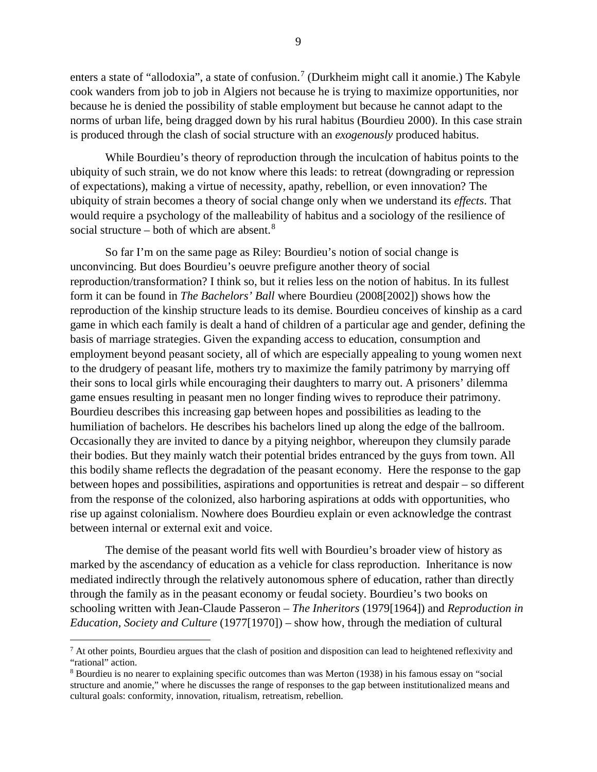enters a state of "allodoxia", a state of confusion.<sup>[7](#page-8-0)</sup> (Durkheim might call it anomie.) The Kabyle cook wanders from job to job in Algiers not because he is trying to maximize opportunities, nor because he is denied the possibility of stable employment but because he cannot adapt to the norms of urban life, being dragged down by his rural habitus (Bourdieu 2000). In this case strain is produced through the clash of social structure with an *exogenously* produced habitus.

While Bourdieu's theory of reproduction through the inculcation of habitus points to the ubiquity of such strain, we do not know where this leads: to retreat (downgrading or repression of expectations), making a virtue of necessity, apathy, rebellion, or even innovation? The ubiquity of strain becomes a theory of social change only when we understand its *effects*. That would require a psychology of the malleability of habitus and a sociology of the resilience of social structure  $-$  both of which are absent. $8$ 

So far I'm on the same page as Riley: Bourdieu's notion of social change is unconvincing. But does Bourdieu's oeuvre prefigure another theory of social reproduction/transformation? I think so, but it relies less on the notion of habitus. In its fullest form it can be found in *The Bachelors' Ball* where Bourdieu (2008[2002]) shows how the reproduction of the kinship structure leads to its demise. Bourdieu conceives of kinship as a card game in which each family is dealt a hand of children of a particular age and gender, defining the basis of marriage strategies. Given the expanding access to education, consumption and employment beyond peasant society, all of which are especially appealing to young women next to the drudgery of peasant life, mothers try to maximize the family patrimony by marrying off their sons to local girls while encouraging their daughters to marry out. A prisoners' dilemma game ensues resulting in peasant men no longer finding wives to reproduce their patrimony. Bourdieu describes this increasing gap between hopes and possibilities as leading to the humiliation of bachelors. He describes his bachelors lined up along the edge of the ballroom. Occasionally they are invited to dance by a pitying neighbor, whereupon they clumsily parade their bodies. But they mainly watch their potential brides entranced by the guys from town. All this bodily shame reflects the degradation of the peasant economy. Here the response to the gap between hopes and possibilities, aspirations and opportunities is retreat and despair – so different from the response of the colonized, also harboring aspirations at odds with opportunities, who rise up against colonialism. Nowhere does Bourdieu explain or even acknowledge the contrast between internal or external exit and voice.

The demise of the peasant world fits well with Bourdieu's broader view of history as marked by the ascendancy of education as a vehicle for class reproduction. Inheritance is now mediated indirectly through the relatively autonomous sphere of education, rather than directly through the family as in the peasant economy or feudal society. Bourdieu's two books on schooling written with Jean-Claude Passeron – *The Inheritors* (1979[1964]) and *Reproduction in Education, Society and Culture* (1977[1970]) – show how, through the mediation of cultural

<span id="page-8-0"></span> $^7$  At other points, Bourdieu argues that the clash of position and disposition can lead to heightened reflexivity and "rational" action.

<span id="page-8-1"></span><sup>8</sup> Bourdieu is no nearer to explaining specific outcomes than was Merton (1938) in his famous essay on "social structure and anomie," where he discusses the range of responses to the gap between institutionalized means and cultural goals: conformity, innovation, ritualism, retreatism, rebellion.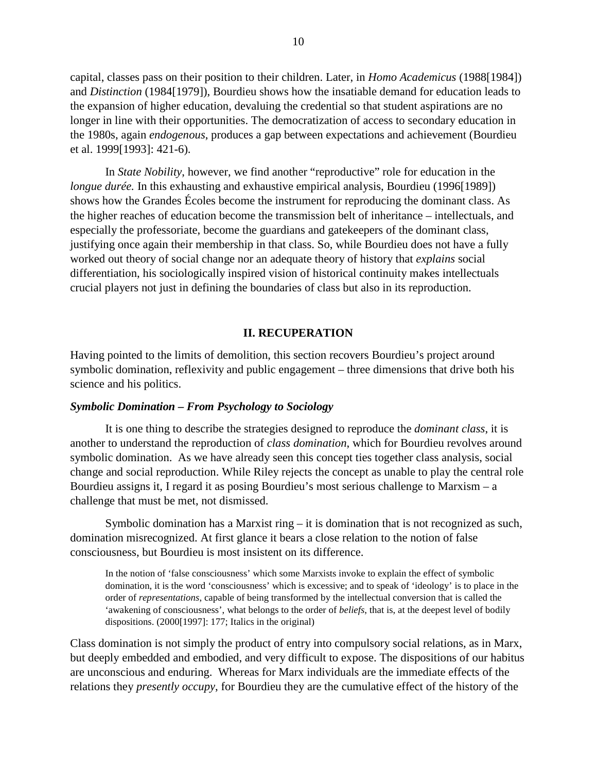capital, classes pass on their position to their children. Later, in *Homo Academicus* (1988[1984]) and *Distinction* (1984[1979]), Bourdieu shows how the insatiable demand for education leads to the expansion of higher education, devaluing the credential so that student aspirations are no longer in line with their opportunities. The democratization of access to secondary education in the 1980s, again *endogenous*, produces a gap between expectations and achievement (Bourdieu et al. 1999[1993]: 421-6).

In *State Nobility*, however, we find another "reproductive" role for education in the *longue durée.* In this exhausting and exhaustive empirical analysis, Bourdieu (1996[1989]) shows how the Grandes Écoles become the instrument for reproducing the dominant class. As the higher reaches of education become the transmission belt of inheritance – intellectuals, and especially the professoriate, become the guardians and gatekeepers of the dominant class, justifying once again their membership in that class. So, while Bourdieu does not have a fully worked out theory of social change nor an adequate theory of history that *explains* social differentiation, his sociologically inspired vision of historical continuity makes intellectuals crucial players not just in defining the boundaries of class but also in its reproduction.

# **II. RECUPERATION**

Having pointed to the limits of demolition, this section recovers Bourdieu's project around symbolic domination, reflexivity and public engagement – three dimensions that drive both his science and his politics.

#### *Symbolic Domination – From Psychology to Sociology*

It is one thing to describe the strategies designed to reproduce the *dominant class*, it is another to understand the reproduction of *class domination*, which for Bourdieu revolves around symbolic domination. As we have already seen this concept ties together class analysis, social change and social reproduction. While Riley rejects the concept as unable to play the central role Bourdieu assigns it, I regard it as posing Bourdieu's most serious challenge to Marxism – a challenge that must be met, not dismissed.

Symbolic domination has a Marxist ring – it is domination that is not recognized as such, domination misrecognized. At first glance it bears a close relation to the notion of false consciousness, but Bourdieu is most insistent on its difference.

In the notion of 'false consciousness' which some Marxists invoke to explain the effect of symbolic domination, it is the word 'consciousness' which is excessive; and to speak of 'ideology' is to place in the order of *representations*, capable of being transformed by the intellectual conversion that is called the 'awakening of consciousness', what belongs to the order of *beliefs*, that is, at the deepest level of bodily dispositions. (2000[1997]: 177; Italics in the original)

Class domination is not simply the product of entry into compulsory social relations, as in Marx, but deeply embedded and embodied, and very difficult to expose. The dispositions of our habitus are unconscious and enduring. Whereas for Marx individuals are the immediate effects of the relations they *presently occupy*, for Bourdieu they are the cumulative effect of the history of the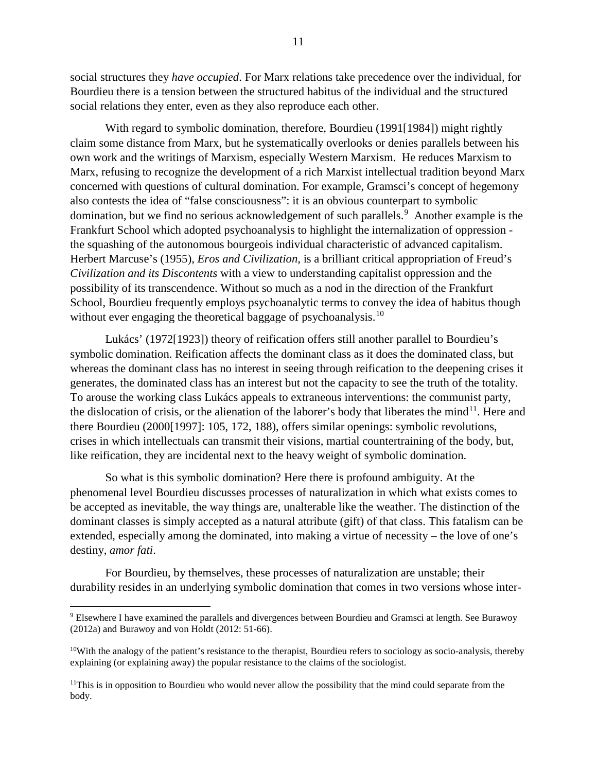social structures they *have occupied*. For Marx relations take precedence over the individual, for Bourdieu there is a tension between the structured habitus of the individual and the structured social relations they enter, even as they also reproduce each other.

With regard to symbolic domination, therefore, Bourdieu (1991[1984]) might rightly claim some distance from Marx, but he systematically overlooks or denies parallels between his own work and the writings of Marxism, especially Western Marxism. He reduces Marxism to Marx, refusing to recognize the development of a rich Marxist intellectual tradition beyond Marx concerned with questions of cultural domination. For example, Gramsci's concept of hegemony also contests the idea of "false consciousness": it is an obvious counterpart to symbolic domination, but we find no serious acknowledgement of such parallels.<sup>[9](#page-10-0)</sup> Another example is the Frankfurt School which adopted psychoanalysis to highlight the internalization of oppression the squashing of the autonomous bourgeois individual characteristic of advanced capitalism. Herbert Marcuse's (1955), *Eros and Civilization*, is a brilliant critical appropriation of Freud's *Civilization and its Discontents* with a view to understanding capitalist oppression and the possibility of its transcendence. Without so much as a nod in the direction of the Frankfurt School, Bourdieu frequently employs psychoanalytic terms to convey the idea of habitus though without ever engaging the theoretical baggage of psychoanalysis.<sup>[10](#page-10-1)</sup>

Lukács' (1972[1923]) theory of reification offers still another parallel to Bourdieu's symbolic domination. Reification affects the dominant class as it does the dominated class, but whereas the dominant class has no interest in seeing through reification to the deepening crises it generates, the dominated class has an interest but not the capacity to see the truth of the totality. To arouse the working class Lukács appeals to extraneous interventions: the communist party, the dislocation of crisis, or the alienation of the laborer's body that liberates the mind $11$ . Here and there Bourdieu (2000[1997]: 105, 172, 188), offers similar openings: symbolic revolutions, crises in which intellectuals can transmit their visions, martial countertraining of the body, but, like reification, they are incidental next to the heavy weight of symbolic domination.

So what is this symbolic domination? Here there is profound ambiguity. At the phenomenal level Bourdieu discusses processes of naturalization in which what exists comes to be accepted as inevitable, the way things are, unalterable like the weather. The distinction of the dominant classes is simply accepted as a natural attribute (gift) of that class. This fatalism can be extended, especially among the dominated, into making a virtue of necessity – the love of one's destiny, *amor fati*.

For Bourdieu, by themselves, these processes of naturalization are unstable; their durability resides in an underlying symbolic domination that comes in two versions whose inter-

<span id="page-10-0"></span> <sup>9</sup> Elsewhere I have examined the parallels and divergences between Bourdieu and Gramsci at length. See Burawoy (2012a) and Burawoy and von Holdt (2012: 51-66).

<span id="page-10-1"></span> $10$ With the analogy of the patient's resistance to the therapist, Bourdieu refers to sociology as socio-analysis, thereby explaining (or explaining away) the popular resistance to the claims of the sociologist.

<span id="page-10-2"></span><sup>&</sup>lt;sup>11</sup>This is in opposition to Bourdieu who would never allow the possibility that the mind could separate from the body.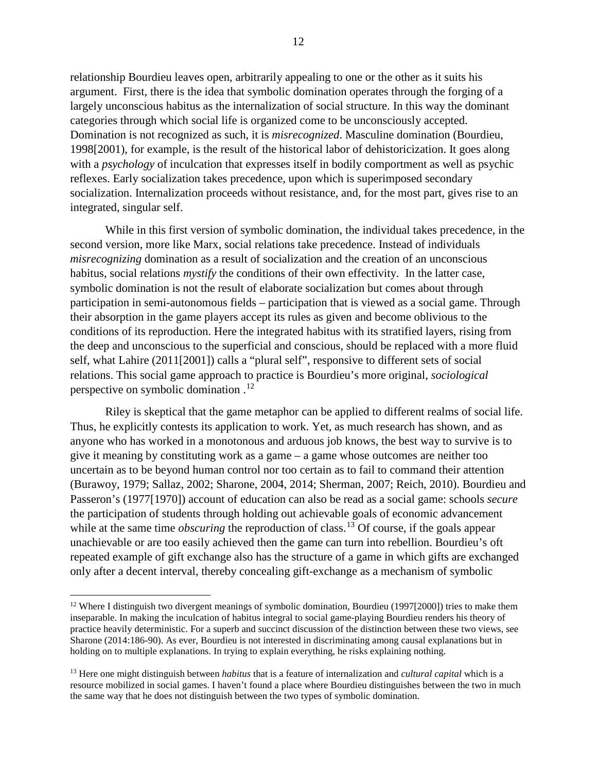relationship Bourdieu leaves open, arbitrarily appealing to one or the other as it suits his argument. First, there is the idea that symbolic domination operates through the forging of a largely unconscious habitus as the internalization of social structure. In this way the dominant categories through which social life is organized come to be unconsciously accepted. Domination is not recognized as such, it is *misrecognized*. Masculine domination (Bourdieu, 1998[2001), for example, is the result of the historical labor of dehistoricization. It goes along with a *psychology* of inculcation that expresses itself in bodily comportment as well as psychic reflexes. Early socialization takes precedence, upon which is superimposed secondary socialization. Internalization proceeds without resistance, and, for the most part, gives rise to an integrated, singular self.

While in this first version of symbolic domination, the individual takes precedence, in the second version, more like Marx, social relations take precedence. Instead of individuals *misrecognizing* domination as a result of socialization and the creation of an unconscious habitus, social relations *mystify* the conditions of their own effectivity. In the latter case, symbolic domination is not the result of elaborate socialization but comes about through participation in semi-autonomous fields – participation that is viewed as a social game. Through their absorption in the game players accept its rules as given and become oblivious to the conditions of its reproduction. Here the integrated habitus with its stratified layers, rising from the deep and unconscious to the superficial and conscious, should be replaced with a more fluid self, what Lahire (2011[2001]) calls a "plural self", responsive to different sets of social relations. This social game approach to practice is Bourdieu's more original, *sociological* perspective on symbolic domination . [12](#page-11-0)

Riley is skeptical that the game metaphor can be applied to different realms of social life. Thus, he explicitly contests its application to work. Yet, as much research has shown, and as anyone who has worked in a monotonous and arduous job knows, the best way to survive is to give it meaning by constituting work as a game – a game whose outcomes are neither too uncertain as to be beyond human control nor too certain as to fail to command their attention (Burawoy, 1979; Sallaz, 2002; Sharone, 2004, 2014; Sherman, 2007; Reich, 2010). Bourdieu and Passeron's (1977[1970]) account of education can also be read as a social game: schools *secure* the participation of students through holding out achievable goals of economic advancement while at the same time *obscuring* the reproduction of class.<sup>[13](#page-11-1)</sup> Of course, if the goals appear unachievable or are too easily achieved then the game can turn into rebellion. Bourdieu's oft repeated example of gift exchange also has the structure of a game in which gifts are exchanged only after a decent interval, thereby concealing gift-exchange as a mechanism of symbolic

<span id="page-11-0"></span><sup>&</sup>lt;sup>12</sup> Where I distinguish two divergent meanings of symbolic domination, Bourdieu (1997[2000]) tries to make them inseparable. In making the inculcation of habitus integral to social game-playing Bourdieu renders his theory of practice heavily deterministic. For a superb and succinct discussion of the distinction between these two views, see Sharone (2014:186-90). As ever, Bourdieu is not interested in discriminating among causal explanations but in holding on to multiple explanations. In trying to explain everything, he risks explaining nothing.

<span id="page-11-1"></span> <sup>13</sup> Here one might distinguish between *habitus* that is a feature of internalization and *cultural capital* which is a resource mobilized in social games. I haven't found a place where Bourdieu distinguishes between the two in much the same way that he does not distinguish between the two types of symbolic domination.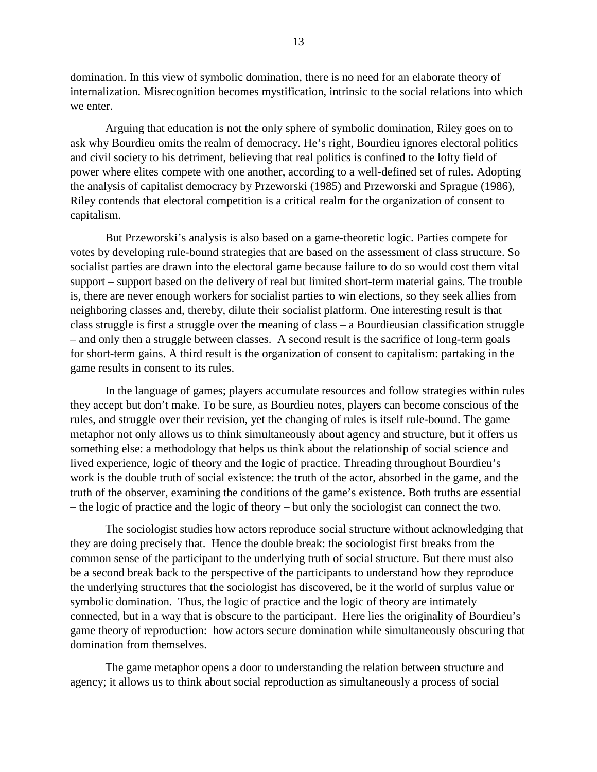domination. In this view of symbolic domination, there is no need for an elaborate theory of internalization. Misrecognition becomes mystification, intrinsic to the social relations into which we enter.

Arguing that education is not the only sphere of symbolic domination, Riley goes on to ask why Bourdieu omits the realm of democracy. He's right, Bourdieu ignores electoral politics and civil society to his detriment, believing that real politics is confined to the lofty field of power where elites compete with one another, according to a well-defined set of rules. Adopting the analysis of capitalist democracy by Przeworski (1985) and Przeworski and Sprague (1986), Riley contends that electoral competition is a critical realm for the organization of consent to capitalism.

But Przeworski's analysis is also based on a game-theoretic logic. Parties compete for votes by developing rule-bound strategies that are based on the assessment of class structure. So socialist parties are drawn into the electoral game because failure to do so would cost them vital support – support based on the delivery of real but limited short-term material gains. The trouble is, there are never enough workers for socialist parties to win elections, so they seek allies from neighboring classes and, thereby, dilute their socialist platform. One interesting result is that class struggle is first a struggle over the meaning of class – a Bourdieusian classification struggle – and only then a struggle between classes. A second result is the sacrifice of long-term goals for short-term gains. A third result is the organization of consent to capitalism: partaking in the game results in consent to its rules.

In the language of games; players accumulate resources and follow strategies within rules they accept but don't make. To be sure, as Bourdieu notes, players can become conscious of the rules, and struggle over their revision, yet the changing of rules is itself rule-bound. The game metaphor not only allows us to think simultaneously about agency and structure, but it offers us something else: a methodology that helps us think about the relationship of social science and lived experience, logic of theory and the logic of practice. Threading throughout Bourdieu's work is the double truth of social existence: the truth of the actor, absorbed in the game, and the truth of the observer, examining the conditions of the game's existence. Both truths are essential – the logic of practice and the logic of theory – but only the sociologist can connect the two.

The sociologist studies how actors reproduce social structure without acknowledging that they are doing precisely that. Hence the double break: the sociologist first breaks from the common sense of the participant to the underlying truth of social structure. But there must also be a second break back to the perspective of the participants to understand how they reproduce the underlying structures that the sociologist has discovered, be it the world of surplus value or symbolic domination. Thus, the logic of practice and the logic of theory are intimately connected, but in a way that is obscure to the participant. Here lies the originality of Bourdieu's game theory of reproduction: how actors secure domination while simultaneously obscuring that domination from themselves.

The game metaphor opens a door to understanding the relation between structure and agency; it allows us to think about social reproduction as simultaneously a process of social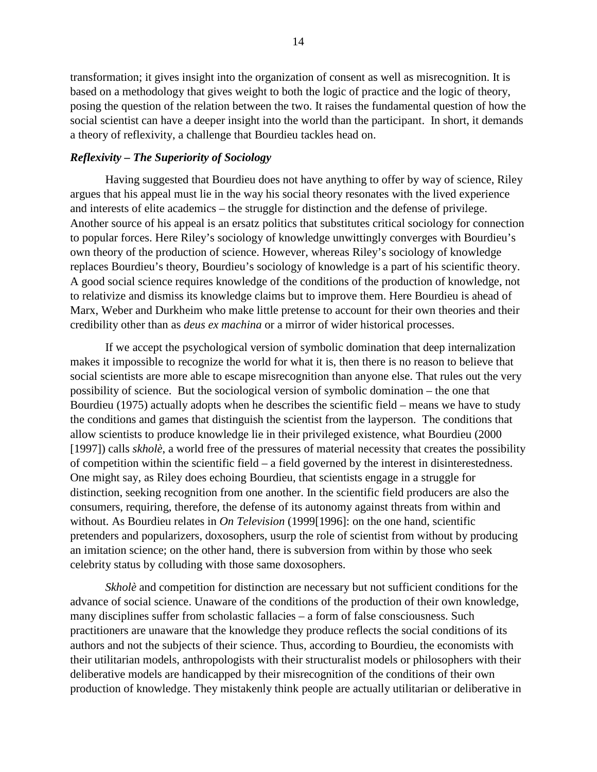transformation; it gives insight into the organization of consent as well as misrecognition. It is based on a methodology that gives weight to both the logic of practice and the logic of theory, posing the question of the relation between the two. It raises the fundamental question of how the social scientist can have a deeper insight into the world than the participant. In short, it demands a theory of reflexivity, a challenge that Bourdieu tackles head on.

# *Reflexivity – The Superiority of Sociology*

Having suggested that Bourdieu does not have anything to offer by way of science, Riley argues that his appeal must lie in the way his social theory resonates with the lived experience and interests of elite academics – the struggle for distinction and the defense of privilege. Another source of his appeal is an ersatz politics that substitutes critical sociology for connection to popular forces. Here Riley's sociology of knowledge unwittingly converges with Bourdieu's own theory of the production of science. However, whereas Riley's sociology of knowledge replaces Bourdieu's theory, Bourdieu's sociology of knowledge is a part of his scientific theory. A good social science requires knowledge of the conditions of the production of knowledge, not to relativize and dismiss its knowledge claims but to improve them. Here Bourdieu is ahead of Marx, Weber and Durkheim who make little pretense to account for their own theories and their credibility other than as *deus ex machina* or a mirror of wider historical processes.

If we accept the psychological version of symbolic domination that deep internalization makes it impossible to recognize the world for what it is, then there is no reason to believe that social scientists are more able to escape misrecognition than anyone else. That rules out the very possibility of science. But the sociological version of symbolic domination – the one that Bourdieu (1975) actually adopts when he describes the scientific field – means we have to study the conditions and games that distinguish the scientist from the layperson. The conditions that allow scientists to produce knowledge lie in their privileged existence, what Bourdieu (2000 [1997]) calls *skholè*, a world free of the pressures of material necessity that creates the possibility of competition within the scientific field – a field governed by the interest in disinterestedness. One might say, as Riley does echoing Bourdieu, that scientists engage in a struggle for distinction, seeking recognition from one another. In the scientific field producers are also the consumers, requiring, therefore, the defense of its autonomy against threats from within and without. As Bourdieu relates in *On Television* (1999[1996]: on the one hand, scientific pretenders and popularizers, doxosophers, usurp the role of scientist from without by producing an imitation science; on the other hand, there is subversion from within by those who seek celebrity status by colluding with those same doxosophers.

*Skholè* and competition for distinction are necessary but not sufficient conditions for the advance of social science. Unaware of the conditions of the production of their own knowledge, many disciplines suffer from scholastic fallacies – a form of false consciousness. Such practitioners are unaware that the knowledge they produce reflects the social conditions of its authors and not the subjects of their science. Thus, according to Bourdieu, the economists with their utilitarian models, anthropologists with their structuralist models or philosophers with their deliberative models are handicapped by their misrecognition of the conditions of their own production of knowledge. They mistakenly think people are actually utilitarian or deliberative in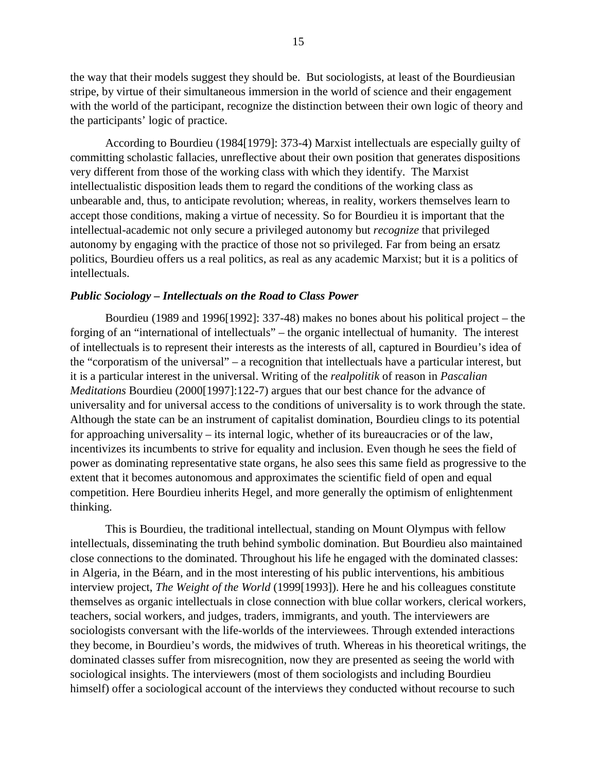the way that their models suggest they should be. But sociologists, at least of the Bourdieusian stripe, by virtue of their simultaneous immersion in the world of science and their engagement with the world of the participant, recognize the distinction between their own logic of theory and the participants' logic of practice.

According to Bourdieu (1984[1979]: 373-4) Marxist intellectuals are especially guilty of committing scholastic fallacies, unreflective about their own position that generates dispositions very different from those of the working class with which they identify. The Marxist intellectualistic disposition leads them to regard the conditions of the working class as unbearable and, thus, to anticipate revolution; whereas, in reality, workers themselves learn to accept those conditions, making a virtue of necessity. So for Bourdieu it is important that the intellectual-academic not only secure a privileged autonomy but *recognize* that privileged autonomy by engaging with the practice of those not so privileged. Far from being an ersatz politics, Bourdieu offers us a real politics, as real as any academic Marxist; but it is a politics of intellectuals.

#### *Public Sociology – Intellectuals on the Road to Class Power*

Bourdieu (1989 and 1996[1992]: 337-48) makes no bones about his political project – the forging of an "international of intellectuals" – the organic intellectual of humanity. The interest of intellectuals is to represent their interests as the interests of all, captured in Bourdieu's idea of the "corporatism of the universal" – a recognition that intellectuals have a particular interest, but it is a particular interest in the universal. Writing of the *realpolitik* of reason in *Pascalian Meditations* Bourdieu (2000[1997]:122-7) argues that our best chance for the advance of universality and for universal access to the conditions of universality is to work through the state. Although the state can be an instrument of capitalist domination, Bourdieu clings to its potential for approaching universality – its internal logic, whether of its bureaucracies or of the law, incentivizes its incumbents to strive for equality and inclusion. Even though he sees the field of power as dominating representative state organs, he also sees this same field as progressive to the extent that it becomes autonomous and approximates the scientific field of open and equal competition. Here Bourdieu inherits Hegel, and more generally the optimism of enlightenment thinking.

This is Bourdieu, the traditional intellectual, standing on Mount Olympus with fellow intellectuals, disseminating the truth behind symbolic domination. But Bourdieu also maintained close connections to the dominated. Throughout his life he engaged with the dominated classes: in Algeria, in the Béarn, and in the most interesting of his public interventions, his ambitious interview project, *The Weight of the World* (1999[1993]). Here he and his colleagues constitute themselves as organic intellectuals in close connection with blue collar workers, clerical workers, teachers, social workers, and judges, traders, immigrants, and youth. The interviewers are sociologists conversant with the life-worlds of the interviewees. Through extended interactions they become, in Bourdieu's words, the midwives of truth. Whereas in his theoretical writings, the dominated classes suffer from misrecognition, now they are presented as seeing the world with sociological insights. The interviewers (most of them sociologists and including Bourdieu himself) offer a sociological account of the interviews they conducted without recourse to such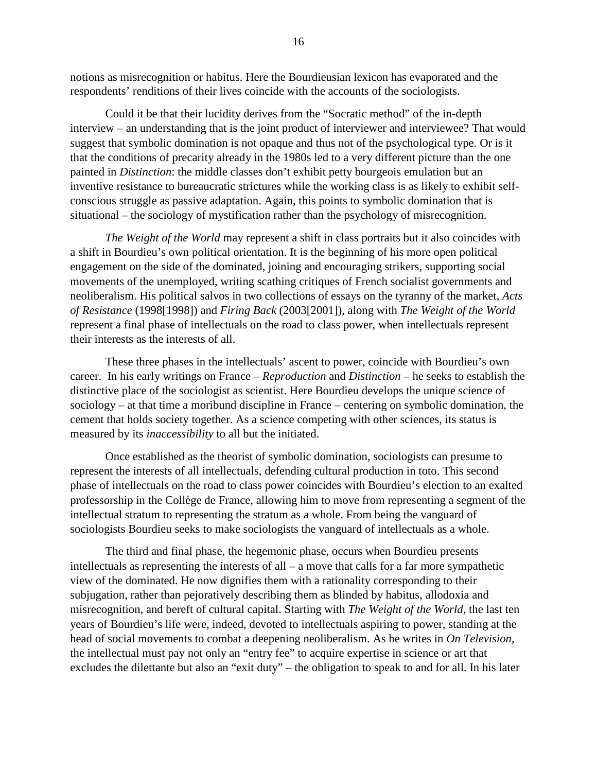notions as misrecognition or habitus. Here the Bourdieusian lexicon has evaporated and the respondents' renditions of their lives coincide with the accounts of the sociologists.

Could it be that their lucidity derives from the "Socratic method" of the in-depth interview – an understanding that is the joint product of interviewer and interviewee? That would suggest that symbolic domination is not opaque and thus not of the psychological type. Or is it that the conditions of precarity already in the 1980s led to a very different picture than the one painted in *Distinction*: the middle classes don't exhibit petty bourgeois emulation but an inventive resistance to bureaucratic strictures while the working class is as likely to exhibit selfconscious struggle as passive adaptation. Again, this points to symbolic domination that is situational – the sociology of mystification rather than the psychology of misrecognition.

*The Weight of the World* may represent a shift in class portraits but it also coincides with a shift in Bourdieu's own political orientation. It is the beginning of his more open political engagement on the side of the dominated, joining and encouraging strikers, supporting social movements of the unemployed, writing scathing critiques of French socialist governments and neoliberalism. His political salvos in two collections of essays on the tyranny of the market, *Acts of Resistance* (1998[1998]) and *Firing Back* (2003[2001]), along with *The Weight of the World* represent a final phase of intellectuals on the road to class power, when intellectuals represent their interests as the interests of all.

These three phases in the intellectuals' ascent to power, coincide with Bourdieu's own career. In his early writings on France – *Reproduction* and *Distinction* – he seeks to establish the distinctive place of the sociologist as scientist. Here Bourdieu develops the unique science of sociology – at that time a moribund discipline in France – centering on symbolic domination, the cement that holds society together. As a science competing with other sciences, its status is measured by its *inaccessibility* to all but the initiated.

Once established as the theorist of symbolic domination, sociologists can presume to represent the interests of all intellectuals, defending cultural production in toto. This second phase of intellectuals on the road to class power coincides with Bourdieu's election to an exalted professorship in the Collège de France, allowing him to move from representing a segment of the intellectual stratum to representing the stratum as a whole. From being the vanguard of sociologists Bourdieu seeks to make sociologists the vanguard of intellectuals as a whole.

The third and final phase, the hegemonic phase, occurs when Bourdieu presents intellectuals as representing the interests of all – a move that calls for a far more sympathetic view of the dominated. He now dignifies them with a rationality corresponding to their subjugation, rather than pejoratively describing them as blinded by habitus, allodoxia and misrecognition, and bereft of cultural capital. Starting with *The Weight of the World,* the last ten years of Bourdieu's life were, indeed, devoted to intellectuals aspiring to power, standing at the head of social movements to combat a deepening neoliberalism. As he writes in *On Television*, the intellectual must pay not only an "entry fee" to acquire expertise in science or art that excludes the dilettante but also an "exit duty" – the obligation to speak to and for all. In his later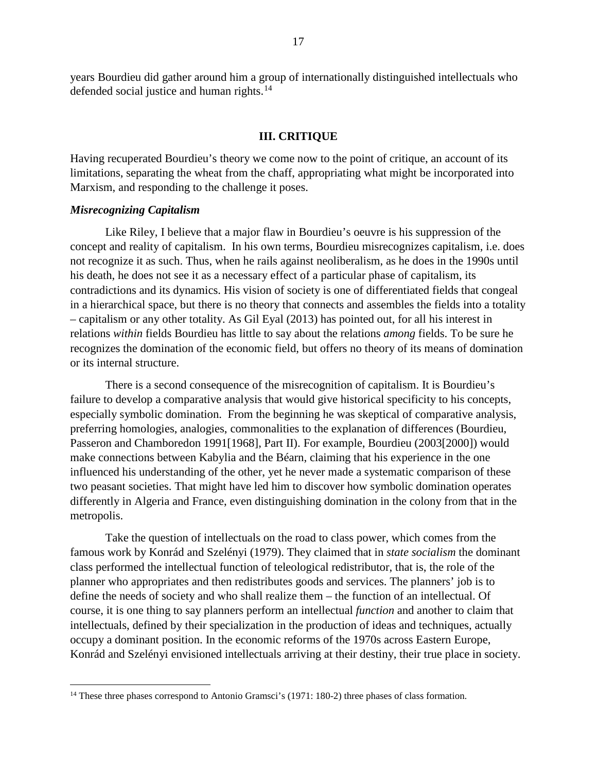years Bourdieu did gather around him a group of internationally distinguished intellectuals who defended social justice and human rights.<sup>[14](#page-16-0)</sup>

#### **III. CRITIQUE**

Having recuperated Bourdieu's theory we come now to the point of critique, an account of its limitations, separating the wheat from the chaff, appropriating what might be incorporated into Marxism, and responding to the challenge it poses.

#### *Misrecognizing Capitalism*

Like Riley, I believe that a major flaw in Bourdieu's oeuvre is his suppression of the concept and reality of capitalism. In his own terms, Bourdieu misrecognizes capitalism, i.e. does not recognize it as such. Thus, when he rails against neoliberalism, as he does in the 1990s until his death, he does not see it as a necessary effect of a particular phase of capitalism, its contradictions and its dynamics. His vision of society is one of differentiated fields that congeal in a hierarchical space, but there is no theory that connects and assembles the fields into a totality – capitalism or any other totality. As Gil Eyal (2013) has pointed out, for all his interest in relations *within* fields Bourdieu has little to say about the relations *among* fields. To be sure he recognizes the domination of the economic field, but offers no theory of its means of domination or its internal structure.

There is a second consequence of the misrecognition of capitalism. It is Bourdieu's failure to develop a comparative analysis that would give historical specificity to his concepts, especially symbolic domination. From the beginning he was skeptical of comparative analysis, preferring homologies, analogies, commonalities to the explanation of differences (Bourdieu, Passeron and Chamboredon 1991[1968], Part II). For example, Bourdieu (2003[2000]) would make connections between Kabylia and the Béarn, claiming that his experience in the one influenced his understanding of the other, yet he never made a systematic comparison of these two peasant societies. That might have led him to discover how symbolic domination operates differently in Algeria and France, even distinguishing domination in the colony from that in the metropolis.

Take the question of intellectuals on the road to class power, which comes from the famous work by Konrád and Szelényi (1979). They claimed that in *state socialism* the dominant class performed the intellectual function of teleological redistributor, that is, the role of the planner who appropriates and then redistributes goods and services. The planners' job is to define the needs of society and who shall realize them – the function of an intellectual. Of course, it is one thing to say planners perform an intellectual *function* and another to claim that intellectuals, defined by their specialization in the production of ideas and techniques, actually occupy a dominant position. In the economic reforms of the 1970s across Eastern Europe, Konrád and Szelényi envisioned intellectuals arriving at their destiny, their true place in society.

<span id="page-16-0"></span><sup>&</sup>lt;sup>14</sup> These three phases correspond to Antonio Gramsci's (1971: 180-2) three phases of class formation.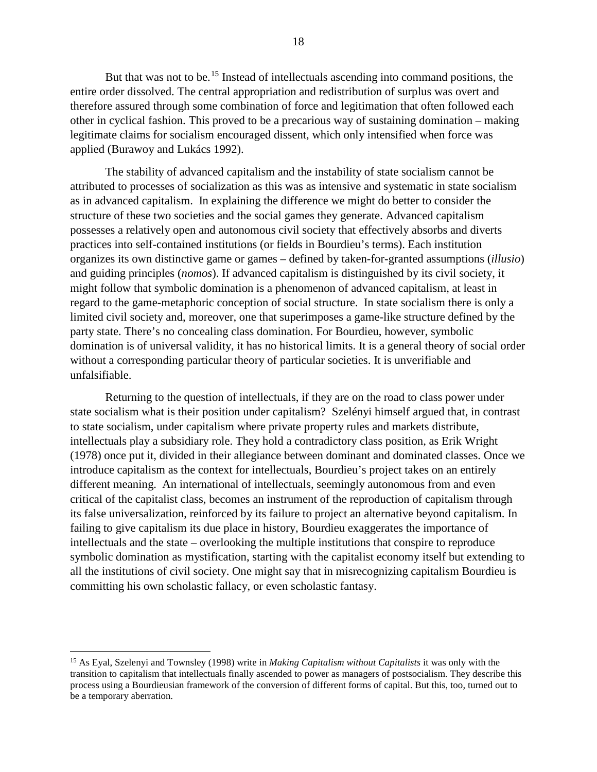But that was not to be.<sup>[15](#page-17-0)</sup> Instead of intellectuals ascending into command positions, the entire order dissolved. The central appropriation and redistribution of surplus was overt and therefore assured through some combination of force and legitimation that often followed each other in cyclical fashion. This proved to be a precarious way of sustaining domination – making legitimate claims for socialism encouraged dissent, which only intensified when force was applied (Burawoy and Lukács 1992).

The stability of advanced capitalism and the instability of state socialism cannot be attributed to processes of socialization as this was as intensive and systematic in state socialism as in advanced capitalism. In explaining the difference we might do better to consider the structure of these two societies and the social games they generate. Advanced capitalism possesses a relatively open and autonomous civil society that effectively absorbs and diverts practices into self-contained institutions (or fields in Bourdieu's terms). Each institution organizes its own distinctive game or games – defined by taken-for-granted assumptions (*illusio*) and guiding principles (*nomos*). If advanced capitalism is distinguished by its civil society, it might follow that symbolic domination is a phenomenon of advanced capitalism, at least in regard to the game-metaphoric conception of social structure. In state socialism there is only a limited civil society and, moreover, one that superimposes a game-like structure defined by the party state. There's no concealing class domination. For Bourdieu, however, symbolic domination is of universal validity, it has no historical limits. It is a general theory of social order without a corresponding particular theory of particular societies. It is unverifiable and unfalsifiable.

Returning to the question of intellectuals, if they are on the road to class power under state socialism what is their position under capitalism? Szelényi himself argued that, in contrast to state socialism, under capitalism where private property rules and markets distribute, intellectuals play a subsidiary role. They hold a contradictory class position, as Erik Wright (1978) once put it, divided in their allegiance between dominant and dominated classes. Once we introduce capitalism as the context for intellectuals, Bourdieu's project takes on an entirely different meaning. An international of intellectuals, seemingly autonomous from and even critical of the capitalist class, becomes an instrument of the reproduction of capitalism through its false universalization, reinforced by its failure to project an alternative beyond capitalism. In failing to give capitalism its due place in history, Bourdieu exaggerates the importance of intellectuals and the state – overlooking the multiple institutions that conspire to reproduce symbolic domination as mystification, starting with the capitalist economy itself but extending to all the institutions of civil society. One might say that in misrecognizing capitalism Bourdieu is committing his own scholastic fallacy, or even scholastic fantasy.

<span id="page-17-0"></span> <sup>15</sup> As Eyal, Szelenyi and Townsley (1998) write in *Making Capitalism without Capitalists* it was only with the transition to capitalism that intellectuals finally ascended to power as managers of postsocialism. They describe this process using a Bourdieusian framework of the conversion of different forms of capital. But this, too, turned out to be a temporary aberration.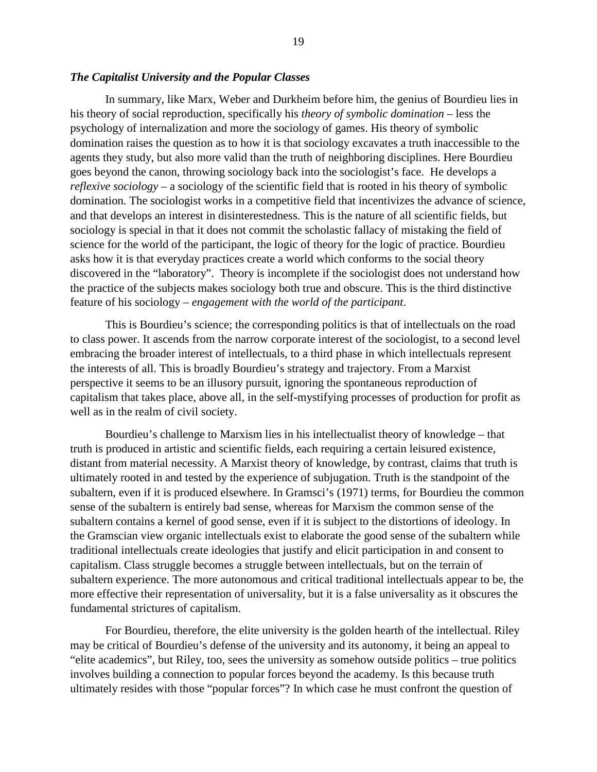In summary, like Marx, Weber and Durkheim before him, the genius of Bourdieu lies in his theory of social reproduction, specifically his *theory of symbolic domination* – less the psychology of internalization and more the sociology of games. His theory of symbolic domination raises the question as to how it is that sociology excavates a truth inaccessible to the agents they study, but also more valid than the truth of neighboring disciplines. Here Bourdieu goes beyond the canon, throwing sociology back into the sociologist's face. He develops a *reflexive sociology* – a sociology of the scientific field that is rooted in his theory of symbolic domination. The sociologist works in a competitive field that incentivizes the advance of science, and that develops an interest in disinterestedness. This is the nature of all scientific fields, but sociology is special in that it does not commit the scholastic fallacy of mistaking the field of science for the world of the participant, the logic of theory for the logic of practice. Bourdieu asks how it is that everyday practices create a world which conforms to the social theory discovered in the "laboratory". Theory is incomplete if the sociologist does not understand how the practice of the subjects makes sociology both true and obscure. This is the third distinctive feature of his sociology – *engagement with the world of the participant*.

This is Bourdieu's science; the corresponding politics is that of intellectuals on the road to class power. It ascends from the narrow corporate interest of the sociologist, to a second level embracing the broader interest of intellectuals, to a third phase in which intellectuals represent the interests of all. This is broadly Bourdieu's strategy and trajectory. From a Marxist perspective it seems to be an illusory pursuit, ignoring the spontaneous reproduction of capitalism that takes place, above all, in the self-mystifying processes of production for profit as well as in the realm of civil society.

Bourdieu's challenge to Marxism lies in his intellectualist theory of knowledge – that truth is produced in artistic and scientific fields, each requiring a certain leisured existence, distant from material necessity. A Marxist theory of knowledge, by contrast, claims that truth is ultimately rooted in and tested by the experience of subjugation. Truth is the standpoint of the subaltern, even if it is produced elsewhere. In Gramsci's (1971) terms, for Bourdieu the common sense of the subaltern is entirely bad sense, whereas for Marxism the common sense of the subaltern contains a kernel of good sense, even if it is subject to the distortions of ideology. In the Gramscian view organic intellectuals exist to elaborate the good sense of the subaltern while traditional intellectuals create ideologies that justify and elicit participation in and consent to capitalism. Class struggle becomes a struggle between intellectuals, but on the terrain of subaltern experience. The more autonomous and critical traditional intellectuals appear to be, the more effective their representation of universality, but it is a false universality as it obscures the fundamental strictures of capitalism.

For Bourdieu, therefore, the elite university is the golden hearth of the intellectual. Riley may be critical of Bourdieu's defense of the university and its autonomy, it being an appeal to "elite academics", but Riley, too, sees the university as somehow outside politics – true politics involves building a connection to popular forces beyond the academy. Is this because truth ultimately resides with those "popular forces"? In which case he must confront the question of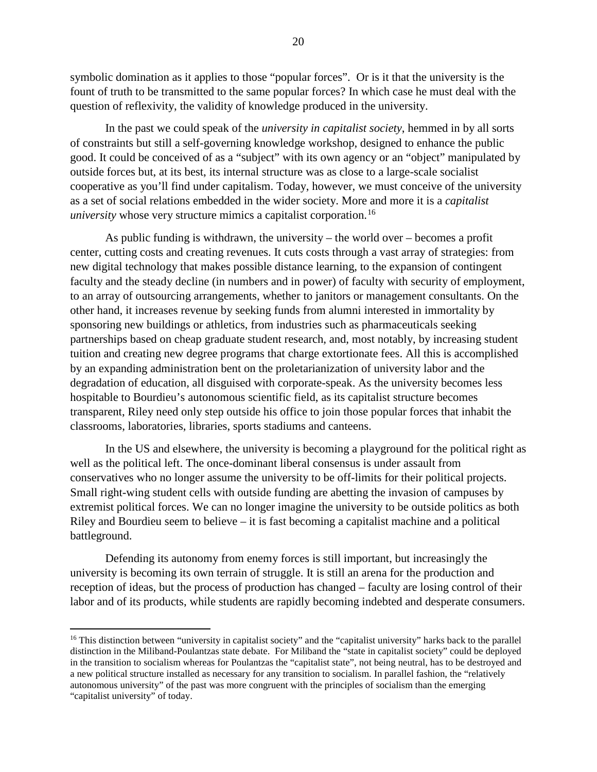symbolic domination as it applies to those "popular forces". Or is it that the university is the fount of truth to be transmitted to the same popular forces? In which case he must deal with the question of reflexivity, the validity of knowledge produced in the university.

In the past we could speak of the *university in capitalist society*, hemmed in by all sorts of constraints but still a self-governing knowledge workshop, designed to enhance the public good. It could be conceived of as a "subject" with its own agency or an "object" manipulated by outside forces but, at its best, its internal structure was as close to a large-scale socialist cooperative as you'll find under capitalism. Today, however, we must conceive of the university as a set of social relations embedded in the wider society. More and more it is a *capitalist university* whose very structure mimics a capitalist corporation.<sup>[16](#page-19-0)</sup>

As public funding is withdrawn, the university – the world over – becomes a profit center, cutting costs and creating revenues. It cuts costs through a vast array of strategies: from new digital technology that makes possible distance learning, to the expansion of contingent faculty and the steady decline (in numbers and in power) of faculty with security of employment, to an array of outsourcing arrangements, whether to janitors or management consultants. On the other hand, it increases revenue by seeking funds from alumni interested in immortality by sponsoring new buildings or athletics, from industries such as pharmaceuticals seeking partnerships based on cheap graduate student research, and, most notably, by increasing student tuition and creating new degree programs that charge extortionate fees. All this is accomplished by an expanding administration bent on the proletarianization of university labor and the degradation of education, all disguised with corporate-speak. As the university becomes less hospitable to Bourdieu's autonomous scientific field, as its capitalist structure becomes transparent, Riley need only step outside his office to join those popular forces that inhabit the classrooms, laboratories, libraries, sports stadiums and canteens.

In the US and elsewhere, the university is becoming a playground for the political right as well as the political left. The once-dominant liberal consensus is under assault from conservatives who no longer assume the university to be off-limits for their political projects. Small right-wing student cells with outside funding are abetting the invasion of campuses by extremist political forces. We can no longer imagine the university to be outside politics as both Riley and Bourdieu seem to believe – it is fast becoming a capitalist machine and a political battleground.

Defending its autonomy from enemy forces is still important, but increasingly the university is becoming its own terrain of struggle. It is still an arena for the production and reception of ideas, but the process of production has changed – faculty are losing control of their labor and of its products, while students are rapidly becoming indebted and desperate consumers.

<span id="page-19-0"></span><sup>&</sup>lt;sup>16</sup> This distinction between "university in capitalist society" and the "capitalist university" harks back to the parallel distinction in the Miliband-Poulantzas state debate. For Miliband the "state in capitalist society" could be deployed in the transition to socialism whereas for Poulantzas the "capitalist state", not being neutral, has to be destroyed and a new political structure installed as necessary for any transition to socialism. In parallel fashion, the "relatively autonomous university" of the past was more congruent with the principles of socialism than the emerging "capitalist university" of today.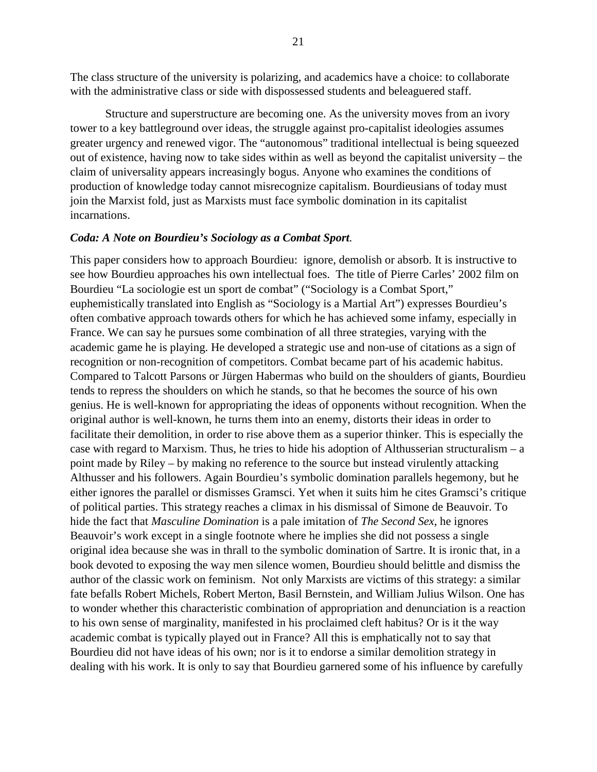The class structure of the university is polarizing, and academics have a choice: to collaborate with the administrative class or side with dispossessed students and beleaguered staff.

Structure and superstructure are becoming one. As the university moves from an ivory tower to a key battleground over ideas, the struggle against pro-capitalist ideologies assumes greater urgency and renewed vigor. The "autonomous" traditional intellectual is being squeezed out of existence, having now to take sides within as well as beyond the capitalist university – the claim of universality appears increasingly bogus. Anyone who examines the conditions of production of knowledge today cannot misrecognize capitalism. Bourdieusians of today must join the Marxist fold, just as Marxists must face symbolic domination in its capitalist incarnations.

#### *Coda: A Note on Bourdieu's Sociology as a Combat Sport.*

This paper considers how to approach Bourdieu: ignore, demolish or absorb. It is instructive to see how Bourdieu approaches his own intellectual foes. The title of Pierre Carles' 2002 film on Bourdieu "La sociologie est un sport de combat" ("Sociology is a Combat Sport," euphemistically translated into English as "Sociology is a Martial Art") expresses Bourdieu's often combative approach towards others for which he has achieved some infamy, especially in France. We can say he pursues some combination of all three strategies, varying with the academic game he is playing. He developed a strategic use and non-use of citations as a sign of recognition or non-recognition of competitors. Combat became part of his academic habitus. Compared to Talcott Parsons or Jürgen Habermas who build on the shoulders of giants, Bourdieu tends to repress the shoulders on which he stands, so that he becomes the source of his own genius. He is well-known for appropriating the ideas of opponents without recognition. When the original author is well-known, he turns them into an enemy, distorts their ideas in order to facilitate their demolition, in order to rise above them as a superior thinker. This is especially the case with regard to Marxism. Thus, he tries to hide his adoption of Althusserian structuralism – a point made by Riley – by making no reference to the source but instead virulently attacking Althusser and his followers. Again Bourdieu's symbolic domination parallels hegemony, but he either ignores the parallel or dismisses Gramsci. Yet when it suits him he cites Gramsci's critique of political parties. This strategy reaches a climax in his dismissal of Simone de Beauvoir. To hide the fact that *Masculine Domination* is a pale imitation of *The Second Sex*, he ignores Beauvoir's work except in a single footnote where he implies she did not possess a single original idea because she was in thrall to the symbolic domination of Sartre. It is ironic that, in a book devoted to exposing the way men silence women, Bourdieu should belittle and dismiss the author of the classic work on feminism. Not only Marxists are victims of this strategy: a similar fate befalls Robert Michels, Robert Merton, Basil Bernstein, and William Julius Wilson. One has to wonder whether this characteristic combination of appropriation and denunciation is a reaction to his own sense of marginality, manifested in his proclaimed cleft habitus? Or is it the way academic combat is typically played out in France? All this is emphatically not to say that Bourdieu did not have ideas of his own; nor is it to endorse a similar demolition strategy in dealing with his work. It is only to say that Bourdieu garnered some of his influence by carefully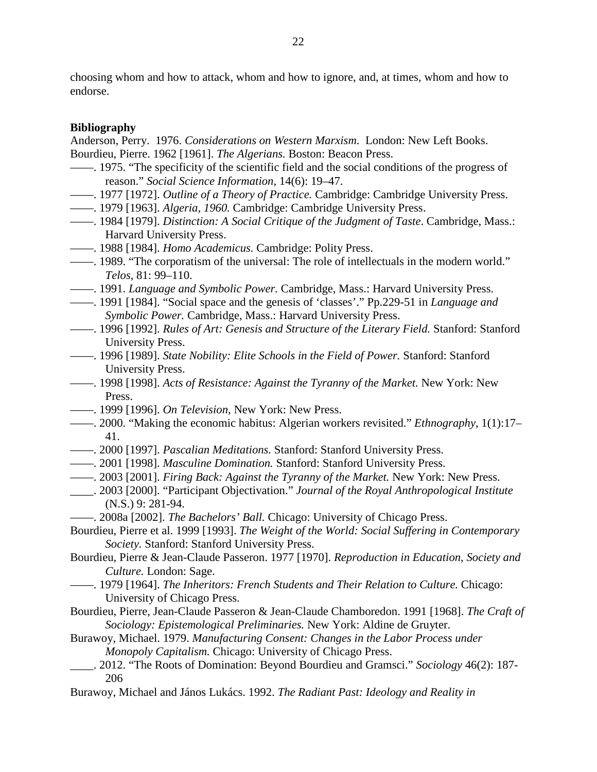choosing whom and how to attack, whom and how to ignore, and, at times, whom and how to endorse.

#### **Bibliography**

Anderson, Perry. 1976. *Considerations on Western Marxism*. London: New Left Books.

Bourdieu, Pierre. 1962 [1961]. *The Algerians.* Boston: Beacon Press.

- ——. 1975. "The specificity of the scientific field and the social conditions of the progress of reason." *Social Science Information*, 14(6): 19–47.
- ——. 1977 [1972]. *Outline of a Theory of Practice.* Cambridge: Cambridge University Press.
- ——. 1979 [1963]. *Algeria, 1960.* Cambridge: Cambridge University Press.
- ——. 1984 [1979]. *Distinction: A Social Critique of the Judgment of Taste*. Cambridge, Mass.: Harvard University Press.
- ——. 1988 [1984]. *Homo Academicus.* Cambridge: Polity Press.
- ——. 1989. "The corporatism of the universal: The role of intellectuals in the modern world." *Telos*, 81: 99–110.
- ——. 1991. *Language and Symbolic Power.* Cambridge, Mass.: Harvard University Press.
- ——. 1991 [1984]. "Social space and the genesis of 'classes'." Pp.229-51 in *Language and Symbolic Power.* Cambridge, Mass.: Harvard University Press.
- ——. 1996 [1992]. *Rules of Art: Genesis and Structure of the Literary Field.* Stanford: Stanford University Press.
- ——. 1996 [1989]. *State Nobility: Elite Schools in the Field of Power.* Stanford: Stanford University Press.
- ——. 1998 [1998]. *Acts of Resistance: Against the Tyranny of the Market.* New York: New Press.
- ——. 1999 [1996]. *On Television,* New York: New Press.
- ——. 2000. "Making the economic habitus: Algerian workers revisited." *Ethnography*, 1(1):17– 41.
- ——. 2000 [1997]. *Pascalian Meditations.* Stanford: Stanford University Press.
- ——. 2001 [1998]. *Masculine Domination.* Stanford: Stanford University Press.
- ——. 2003 [2001]. *Firing Back: Against the Tyranny of the Market.* New York: New Press.
- \_\_\_\_. 2003 [2000]. "Participant Objectivation." *Journal of the Royal Anthropological Institute* (N.S.) 9: 281-94.
- ——. 2008a [2002]. *The Bachelors' Ball.* Chicago: University of Chicago Press.
- Bourdieu, Pierre et al. 1999 [1993]. *The Weight of the World: Social Suffering in Contemporary Society.* Stanford: Stanford University Press.
- Bourdieu, Pierre & Jean-Claude Passeron. 1977 [1970]. *Reproduction in Education, Society and Culture.* London: Sage.
- ——. 1979 [1964]. *The Inheritors: French Students and Their Relation to Culture.* Chicago: University of Chicago Press.
- Bourdieu, Pierre, Jean-Claude Passeron & Jean-Claude Chamboredon. 1991 [1968]. *The Craft of Sociology: Epistemological Preliminaries.* New York: Aldine de Gruyter.
- Burawoy, Michael. 1979. *Manufacturing Consent: Changes in the Labor Process under Monopoly Capitalism.* Chicago: University of Chicago Press.
- \_\_\_\_. 2012. "The Roots of Domination: Beyond Bourdieu and Gramsci." *Sociology* 46(2): 187- 206
- Burawoy, Michael and János Lukács. 1992. *The Radiant Past: Ideology and Reality in*